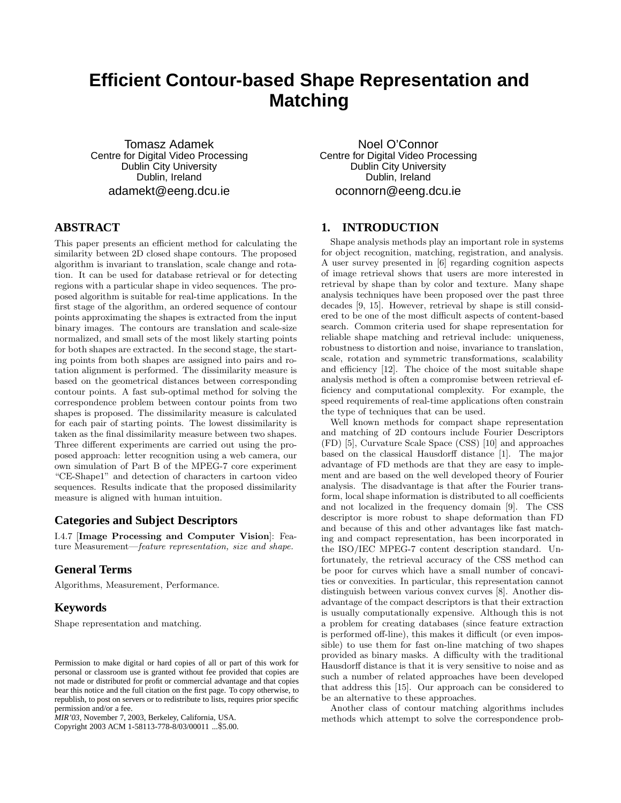# **Efficient Contour-based Shape Representation and Matching**

Tomasz Adamek Centre for Digital Video Processing Dublin City University Dublin, Ireland adamekt@eeng.dcu.ie

# **ABSTRACT**

This paper presents an efficient method for calculating the similarity between 2D closed shape contours. The proposed algorithm is invariant to translation, scale change and rotation. It can be used for database retrieval or for detecting regions with a particular shape in video sequences. The proposed algorithm is suitable for real-time applications. In the first stage of the algorithm, an ordered sequence of contour points approximating the shapes is extracted from the input binary images. The contours are translation and scale-size normalized, and small sets of the most likely starting points for both shapes are extracted. In the second stage, the starting points from both shapes are assigned into pairs and rotation alignment is performed. The dissimilarity measure is based on the geometrical distances between corresponding contour points. A fast sub-optimal method for solving the correspondence problem between contour points from two shapes is proposed. The dissimilarity measure is calculated for each pair of starting points. The lowest dissimilarity is taken as the final dissimilarity measure between two shapes. Three different experiments are carried out using the proposed approach: letter recognition using a web camera, our own simulation of Part B of the MPEG-7 core experiment "CE-Shape1" and detection of characters in cartoon video sequences. Results indicate that the proposed dissimilarity measure is aligned with human intuition.

## **Categories and Subject Descriptors**

I.4.7 [**Image Processing and Computer Vision**]: Feature Measurement—*feature representation, size and shape.*

## **General Terms**

Algorithms, Measurement, Performance.

# **Keywords**

Shape representation and matching.

Copyright 2003 ACM 1-58113-778-8/03/00011 ...\$5.00.

Noel O'Connor Centre for Digital Video Processing Dublin City University Dublin, Ireland oconnorn@eeng.dcu.ie

## **1. INTRODUCTION**

Shape analysis methods play an important role in systems for object recognition, matching, registration, and analysis. A user survey presented in [6] regarding cognition aspects of image retrieval shows that users are more interested in retrieval by shape than by color and texture. Many shape analysis techniques have been proposed over the past three decades [9, 15]. However, retrieval by shape is still considered to be one of the most difficult aspects of content-based search. Common criteria used for shape representation for reliable shape matching and retrieval include: uniqueness, robustness to distortion and noise, invariance to translation, scale, rotation and symmetric transformations, scalability and efficiency [12]. The choice of the most suitable shape analysis method is often a compromise between retrieval efficiency and computational complexity. For example, the speed requirements of real-time applications often constrain the type of techniques that can be used.

Well known methods for compact shape representation and matching of 2D contours include Fourier Descriptors (FD) [5], Curvature Scale Space (CSS) [10] and approaches based on the classical Hausdorff distance [1]. The major advantage of FD methods are that they are easy to implement and are based on the well developed theory of Fourier analysis. The disadvantage is that after the Fourier transform, local shape information is distributed to all coefficients and not localized in the frequency domain [9]. The CSS descriptor is more robust to shape deformation than FD and because of this and other advantages like fast matching and compact representation, has been incorporated in the ISO/IEC MPEG-7 content description standard. Unfortunately, the retrieval accuracy of the CSS method can be poor for curves which have a small number of concavities or convexities. In particular, this representation cannot distinguish between various convex curves [8]. Another disadvantage of the compact descriptors is that their extraction is usually computationally expensive. Although this is not a problem for creating databases (since feature extraction is performed off-line), this makes it difficult (or even impossible) to use them for fast on-line matching of two shapes provided as binary masks. A difficulty with the traditional Hausdorff distance is that it is very sensitive to noise and as such a number of related approaches have been developed that address this [15]. Our approach can be considered to be an alternative to these approaches.

Another class of contour matching algorithms includes methods which attempt to solve the correspondence prob-

Permission to make digital or hard copies of all or part of this work for personal or classroom use is granted without fee provided that copies are not made or distributed for profit or commercial advantage and that copies bear this notice and the full citation on the first page. To copy otherwise, to republish, to post on servers or to redistribute to lists, requires prior specific permission and/or a fee.

*MIR'03,* November 7, 2003, Berkeley, California, USA.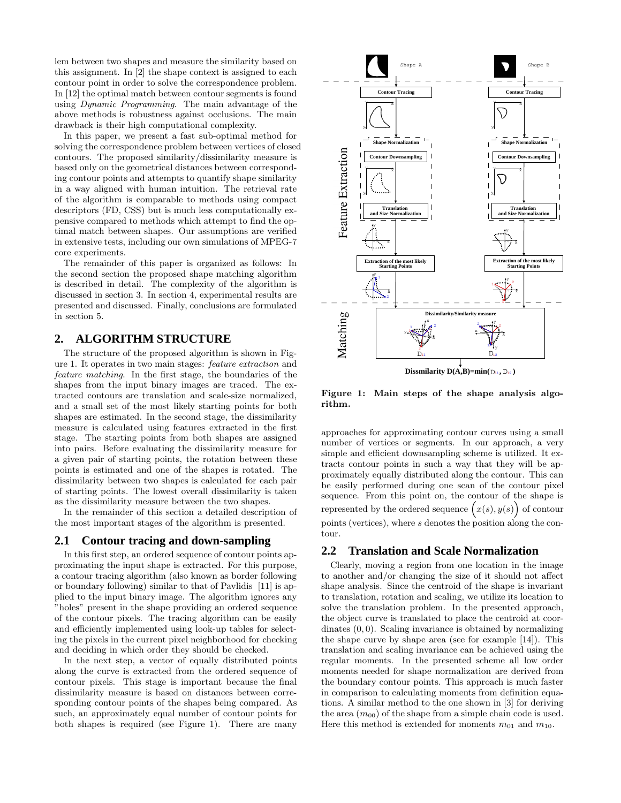lem between two shapes and measure the similarity based on this assignment. In [2] the shape context is assigned to each contour point in order to solve the correspondence problem. In [12] the optimal match between contour segments is found using *Dynamic Programming*. The main advantage of the above methods is robustness against occlusions. The main drawback is their high computational complexity.

In this paper, we present a fast sub-optimal method for solving the correspondence problem between vertices of closed contours. The proposed similarity/dissimilarity measure is based only on the geometrical distances between corresponding contour points and attempts to quantify shape similarity in a way aligned with human intuition. The retrieval rate of the algorithm is comparable to methods using compact descriptors (FD, CSS) but is much less computationally expensive compared to methods which attempt to find the optimal match between shapes. Our assumptions are verified in extensive tests, including our own simulations of MPEG-7 core experiments.

The remainder of this paper is organized as follows: In the second section the proposed shape matching algorithm is described in detail. The complexity of the algorithm is discussed in section 3. In section 4, experimental results are presented and discussed. Finally, conclusions are formulated in section 5.

## **2. ALGORITHM STRUCTURE**

The structure of the proposed algorithm is shown in Figure 1. It operates in two main stages: *feature extraction* and *feature matching*. In the first stage, the boundaries of the shapes from the input binary images are traced. The extracted contours are translation and scale-size normalized, and a small set of the most likely starting points for both shapes are estimated. In the second stage, the dissimilarity measure is calculated using features extracted in the first stage. The starting points from both shapes are assigned into pairs. Before evaluating the dissimilarity measure for a given pair of starting points, the rotation between these points is estimated and one of the shapes is rotated. The dissimilarity between two shapes is calculated for each pair of starting points. The lowest overall dissimilarity is taken as the dissimilarity measure between the two shapes.

In the remainder of this section a detailed description of the most important stages of the algorithm is presented.

## **2.1 Contour tracing and down-sampling**

In this first step, an ordered sequence of contour points approximating the input shape is extracted. For this purpose, a contour tracing algorithm (also known as border following or boundary following) similar to that of Pavlidis [11] is applied to the input binary image. The algorithm ignores any "holes" present in the shape providing an ordered sequence of the contour pixels. The tracing algorithm can be easily and efficiently implemented using look-up tables for selecting the pixels in the current pixel neighborhood for checking and deciding in which order they should be checked.

In the next step, a vector of equally distributed points along the curve is extracted from the ordered sequence of contour pixels. This stage is important because the final dissimilarity measure is based on distances between corresponding contour points of the shapes being compared. As such, an approximately equal number of contour points for both shapes is required (see Figure 1). There are many



**Figure 1: Main steps of the shape analysis algorithm.**

approaches for approximating contour curves using a small number of vertices or segments. In our approach, a very simple and efficient downsampling scheme is utilized. It extracts contour points in such a way that they will be approximately equally distributed along the contour. This can be easily performed during one scan of the contour pixel sequence. From this point on, the contour of the shape is represented by the ordered sequence  $(x(s), y(s))$  of contour points (vertices), where s denotes the position along the contour.

## **2.2 Translation and Scale Normalization**

Clearly, moving a region from one location in the image to another and/or changing the size of it should not affect shape analysis. Since the centroid of the shape is invariant to translation, rotation and scaling, we utilize its location to solve the translation problem. In the presented approach, the object curve is translated to place the centroid at coordinates (0, 0). Scaling invariance is obtained by normalizing the shape curve by shape area (see for example [14]). This translation and scaling invariance can be achieved using the regular moments. In the presented scheme all low order moments needed for shape normalization are derived from the boundary contour points. This approach is much faster in comparison to calculating moments from definition equations. A similar method to the one shown in [3] for deriving the area  $(m_{00})$  of the shape from a simple chain code is used. Here this method is extended for moments  $m_{01}$  and  $m_{10}$ .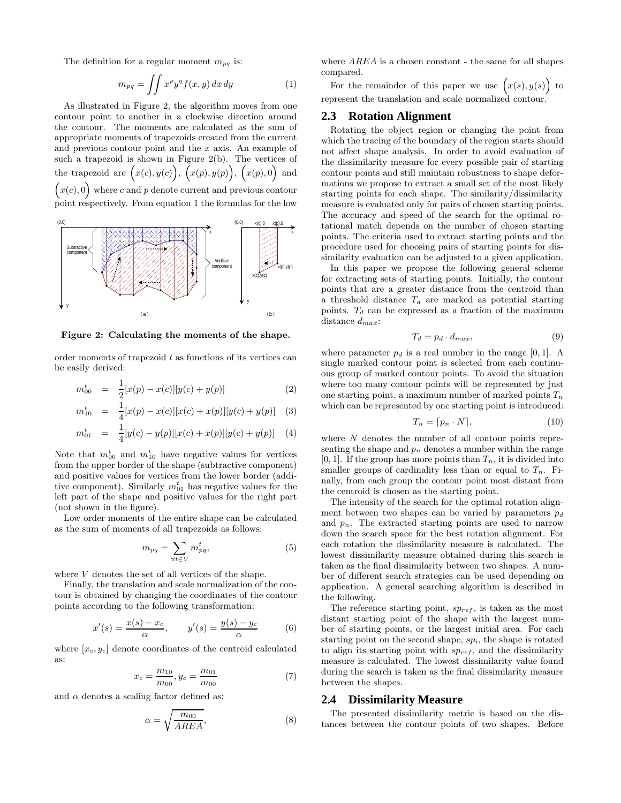The definition for a regular moment  $m_{pq}$  is:

$$
m_{pq} = \iint x^p y^q f(x, y) dx dy \tag{1}
$$

As illustrated in Figure 2, the algorithm moves from one contour point to another in a clockwise direction around the contour. The moments are calculated as the sum of appropriate moments of trapezoids created from the current and previous contour point and the  $x$  axis. An example of such a trapezoid is shown in Figure  $2(b)$ . The vertices of the trapezoid are  $(x(c), y(c)), (x(p), y(p)), (x(p), 0)$  and  $x(c), 0$  where c and p denote current and previous contour point respectively. From equation 1 the formulas for the low



**Figure 2: Calculating the moments of the shape.**

order moments of trapezoid  $t$  as functions of its vertices can be easily derived:

$$
m_{00}^{t} = \frac{1}{2}[x(p) - x(c)][y(c) + y(p)] \qquad (2)
$$

$$
m_{10}^{t} = \frac{1}{4}[x(p) - x(c)][x(c) + x(p)][y(c) + y(p)] \quad (3)
$$

$$
m_{01}^{t} = \frac{1}{4}[y(c) - y(p)][x(c) + x(p)][y(c) + y(p)] \quad (4)
$$

Note that  $m_{00}^t$  and  $m_{10}^t$  have negative values for vertices from the upper border of the shape (subtractive component) and positive values for vertices from the lower border (additive component). Similarly  $m_{01}^t$  has negative values for the left part of the shape and positive values for the right part (not shown in the figure).

Low order moments of the entire shape can be calculated as the sum of moments of all trapezoids as follows:

$$
m_{pq} = \sum_{\forall t \in V} m_{pq}^t,\tag{5}
$$

where  $V$  denotes the set of all vertices of the shape.

Finally, the translation and scale normalization of the contour is obtained by changing the coordinates of the contour points according to the following transformation:

$$
x'(s) = \frac{x(s) - x_c}{\alpha}, \qquad y'(s) = \frac{y(s) - y_c}{\alpha} \tag{6}
$$

where  $[x_c, y_c]$  denote coordinates of the centroid calculated as:

$$
x_c = \frac{m_{10}}{m_{00}}, y_c = \frac{m_{01}}{m_{00}}\tag{7}
$$

and  $\alpha$  denotes a scaling factor defined as:

$$
\alpha = \sqrt{\frac{m_{00}}{AREA}},\tag{8}
$$

where  $AREA$  is a chosen constant - the same for all shapes compared.

For the remainder of this paper we use  $(x(s), y(s))$  to represent the translation and scale normalized contour.

## **2.3 Rotation Alignment**

Rotating the object region or changing the point from which the tracing of the boundary of the region starts should not affect shape analysis. In order to avoid evaluation of the dissimilarity measure for every possible pair of starting contour points and still maintain robustness to shape deformations we propose to extract a small set of the most likely starting points for each shape. The similarity/dissimilarity measure is evaluated only for pairs of chosen starting points. The accuracy and speed of the search for the optimal rotational match depends on the number of chosen starting points. The criteria used to extract starting points and the procedure used for choosing pairs of starting points for dissimilarity evaluation can be adjusted to a given application.

In this paper we propose the following general scheme for extracting sets of starting points. Initially, the contour points that are a greater distance from the centroid than a threshold distance  $T_d$  are marked as potential starting points. T*<sup>d</sup>* can be expressed as a fraction of the maximum distance d*max*:

$$
T_d = p_d \cdot d_{max},\tag{9}
$$

where parameter  $p_d$  is a real number in the range  $[0, 1]$ . A single marked contour point is selected from each continuous group of marked contour points. To avoid the situation where too many contour points will be represented by just one starting point, a maximum number of marked points T*<sup>n</sup>* which can be represented by one starting point is introduced:

$$
T_n = \lceil p_n \cdot N \rceil,\tag{10}
$$

where  $N$  denotes the number of all contour points representing the shape and  $p_n$  denotes a number within the range  $[0, 1]$ . If the group has more points than  $T_n$ , it is divided into smaller groups of cardinality less than or equal to  $T_n$ . Finally, from each group the contour point most distant from the centroid is chosen as the starting point.

The intensity of the search for the optimal rotation alignment between two shapes can be varied by parameters p*<sup>d</sup>* and  $p_n$ . The extracted starting points are used to narrow down the search space for the best rotation alignment. For each rotation the dissimilarity measure is calculated. The lowest dissimilarity measure obtained during this search is taken as the final dissimilarity between two shapes. A number of different search strategies can be used depending on application. A general searching algorithm is described in the following.

The reference starting point, sp*ref* , is taken as the most distant starting point of the shape with the largest number of starting points, or the largest initial area. For each starting point on the second shape, sp*i*, the shape is rotated to align its starting point with sp*ref* , and the dissimilarity measure is calculated. The lowest dissimilarity value found during the search is taken as the final dissimilarity measure between the shapes.

#### **2.4 Dissimilarity Measure**

The presented dissimilarity metric is based on the distances between the contour points of two shapes. Before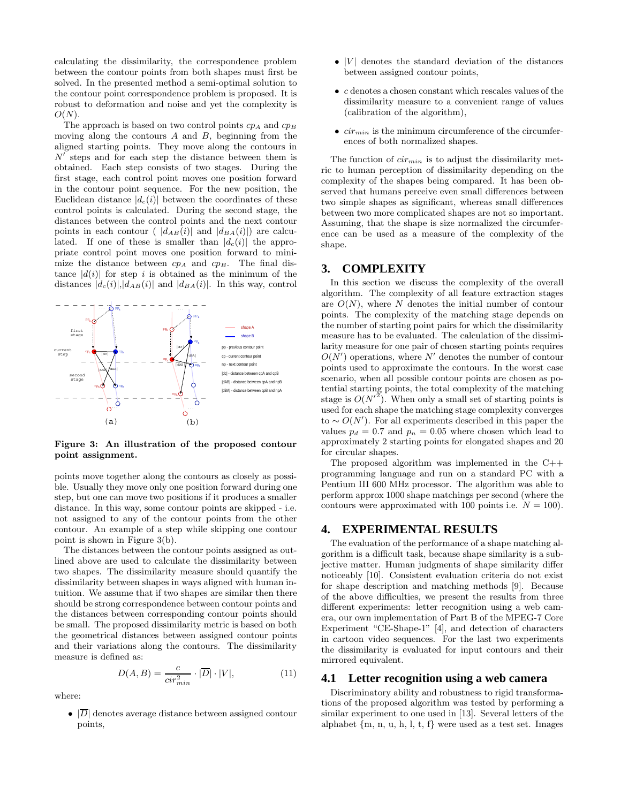calculating the dissimilarity, the correspondence problem between the contour points from both shapes must first be solved. In the presented method a semi-optimal solution to the contour point correspondence problem is proposed. It is robust to deformation and noise and yet the complexity is  $O(N)$ .

The approach is based on two control points cp*<sup>A</sup>* and cp*<sup>B</sup>* moving along the contours  $A$  and  $B$ , beginning from the aligned starting points. They move along the contours in  $N'$  steps and for each step the distance between them is obtained. Each step consists of two stages. During the first stage, each control point moves one position forward in the contour point sequence. For the new position, the Euclidean distance  $|d_c(i)|$  between the coordinates of these control points is calculated. During the second stage, the distances between the control points and the next contour points in each contour (  $|d_{AB}(i)|$  and  $|d_{BA}(i)|$ ) are calculated. If one of these is smaller than  $|d_c(i)|$  the appropriate control point moves one position forward to minimize the distance between  $cp_A$  and  $cp_B$ . The final distance  $|d(i)|$  for step i is obtained as the minimum of the distances  $|d_c(i)|, |d_{AB}(i)|$  and  $|d_{BA}(i)|$ . In this way, control



**Figure 3: An illustration of the proposed contour point assignment.**

points move together along the contours as closely as possible. Usually they move only one position forward during one step, but one can move two positions if it produces a smaller distance. In this way, some contour points are skipped - i.e. not assigned to any of the contour points from the other contour. An example of a step while skipping one contour point is shown in Figure 3(b).

The distances between the contour points assigned as outlined above are used to calculate the dissimilarity between two shapes. The dissimilarity measure should quantify the dissimilarity between shapes in ways aligned with human intuition. We assume that if two shapes are similar then there should be strong correspondence between contour points and the distances between corresponding contour points should be small. The proposed dissimilarity metric is based on both the geometrical distances between assigned contour points and their variations along the contours. The dissimilarity measure is defined as:

$$
D(A, B) = \frac{c}{\operatorname{cir}_{min}^2} \cdot |\overline{D}| \cdot |V|, \tag{11}
$$

where:

•  $|\overline{D}|$  denotes average distance between assigned contour points,

- $\bullet$  |V| denotes the standard deviation of the distances between assigned contour points,
- c denotes a chosen constant which rescales values of the dissimilarity measure to a convenient range of values (calibration of the algorithm),
- $\bullet$   $cir<sub>min</sub>$  is the minimum circumference of the circumferences of both normalized shapes.

The function of cir*min* is to adjust the dissimilarity metric to human perception of dissimilarity depending on the complexity of the shapes being compared. It has been observed that humans perceive even small differences between two simple shapes as significant, whereas small differences between two more complicated shapes are not so important. Assuming, that the shape is size normalized the circumference can be used as a measure of the complexity of the shape.

## **3. COMPLEXITY**

In this section we discuss the complexity of the overall algorithm. The complexity of all feature extraction stages are  $O(N)$ , where N denotes the initial number of contour points. The complexity of the matching stage depends on the number of starting point pairs for which the dissimilarity measure has to be evaluated. The calculation of the dissimilarity measure for one pair of chosen starting points requires  $O(N')$  operations, where N' denotes the number of contour points used to approximate the contours. In the worst case scenario, when all possible contour points are chosen as potential starting points, the total complexity of the matching stage is  $O(N^2)$ . When only a small set of starting points is used for each shape the matching stage complexity converges to  $\sim O(N')$ . For all experiments described in this paper the values  $p_d = 0.7$  and  $p_n = 0.05$  where chosen which lead to approximately 2 starting points for elongated shapes and 20 for circular shapes.

The proposed algorithm was implemented in the  $C++$ programming language and run on a standard PC with a Pentium III 600 MHz processor. The algorithm was able to perform approx1000 shape matchings per second (where the contours were approximated with 100 points i.e.  $N = 100$ .

## **4. EXPERIMENTAL RESULTS**

The evaluation of the performance of a shape matching algorithm is a difficult task, because shape similarity is a subjective matter. Human judgments of shape similarity differ noticeably [10]. Consistent evaluation criteria do not exist for shape description and matching methods [9]. Because of the above difficulties, we present the results from three different experiments: letter recognition using a web camera, our own implementation of Part B of the MPEG-7 Core Experiment "CE-Shape-1" [4], and detection of characters in cartoon video sequences. For the last two experiments the dissimilarity is evaluated for input contours and their mirrored equivalent.

#### **4.1 Letter recognition using a web camera**

Discriminatory ability and robustness to rigid transformations of the proposed algorithm was tested by performing a similar experiment to one used in [13]. Several letters of the alphabet  ${m, n, u, h, l, t, f}$  were used as a test set. Images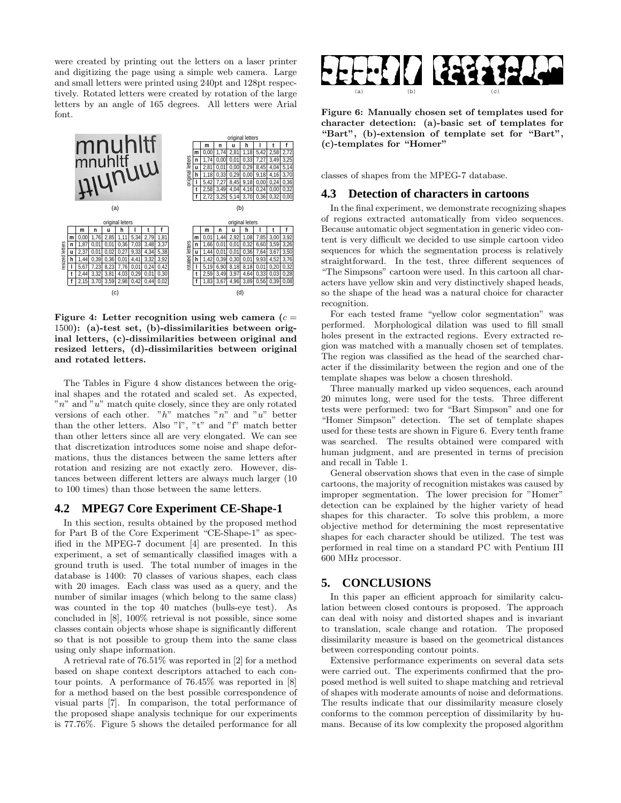were created by printing out the letters on a laser printer and digitizing the page using a simple web camera. Large and small letters were printed using 240pt and 128pt respectively. Rotated letters were created by rotation of the large letters by an angle of 165 degrees. All letters were Arial font.



**Figure 4:** Letter recognition using web camera  $(c =$ 1500**): (a)-test set, (b)-dissimilarities between original letters, (c)-dissimilarities between original and resized letters, (d)-dissimilarities between original and rotated letters.**

The Tables in Figure 4 show distances between the original shapes and the rotated and scaled set. As expected,  $n^{\prime\prime}$  and  $n^{\prime\prime}$  match quite closely, since they are only rotated versions of each other.  $"h"$  matches  $"n"$  and  $"u"$  better than the other letters. Also "l", "t" and "f" match better than other letters since all are very elongated. We can see that discretization introduces some noise and shape deformations, thus the distances between the same letters after rotation and resizing are not exactly zero. However, distances between different letters are always much larger (10 to 100 times) than those between the same letters.

## **4.2 MPEG7 Core Experiment CE-Shape-1**

In this section, results obtained by the proposed method for Part B of the Core Experiment "CE-Shape-1" as specified in the MPEG-7 document [4] are presented. In this experiment, a set of semantically classified images with a ground truth is used. The total number of images in the database is 1400: 70 classes of various shapes, each class with 20 images. Each class was used as a query, and the number of similar images (which belong to the same class) was counted in the top 40 matches (bulls-eye test). As concluded in [8], 100% retrieval is not possible, since some classes contain objects whose shape is significantly different so that is not possible to group them into the same class using only shape information.

A retrieval rate of 76.51% was reported in [2] for a method based on shape context descriptors attached to each contour points. A performance of 76.45% was reported in [8] for a method based on the best possible correspondence of visual parts [7]. In comparison, the total performance of the proposed shape analysis technique for our experiments is 77.76%. Figure 5 shows the detailed performance for all



**Figure 6: Manually chosen set of templates used for character detection: (a)-basic set of templates for "Bart", (b)-extension of template set for "Bart", (c)-templates for "Homer"**

classes of shapes from the MPEG-7 database.

## **4.3 Detection of characters in cartoons**

In the final experiment, we demonstrate recognizing shapes of regions extracted automatically from video sequences. Because automatic object segmentation in generic video content is very difficult we decided to use simple cartoon video sequences for which the segmentation process is relatively straightforward. In the test, three different sequences of "The Simpsons" cartoon were used. In this cartoon all characters have yellow skin and very distinctively shaped heads, so the shape of the head was a natural choice for character recognition.

For each tested frame "yellow color segmentation" was performed. Morphological dilation was used to fill small holes present in the extracted regions. Every extracted region was matched with a manually chosen set of templates. The region was classified as the head of the searched character if the dissimilarity between the region and one of the template shapes was below a chosen threshold.

Three manually marked up video sequences, each around 20 minutes long, were used for the tests. Three different tests were performed: two for "Bart Simpson" and one for "Homer Simpson" detection. The set of template shapes used for these tests are shown in Figure 6. Every tenth frame was searched. The results obtained were compared with human judgment, and are presented in terms of precision and recall in Table 1.

General observation shows that even in the case of simple cartoons, the majority of recognition mistakes was caused by improper segmentation. The lower precision for "Homer" detection can be explained by the higher variety of head shapes for this character. To solve this problem, a more objective method for determining the most representative shapes for each character should be utilized. The test was performed in real time on a standard PC with Pentium III 600 MHz processor.

## **5. CONCLUSIONS**

In this paper an efficient approach for similarity calculation between closed contours is proposed. The approach can deal with noisy and distorted shapes and is invariant to translation, scale change and rotation. The proposed dissimilarity measure is based on the geometrical distances between corresponding contour points.

Extensive performance experiments on several data sets were carried out. The experiments confirmed that the proposed method is well suited to shape matching and retrieval of shapes with moderate amounts of noise and deformations. The results indicate that our dissimilarity measure closely conforms to the common perception of dissimilarity by humans. Because of its low complexity the proposed algorithm